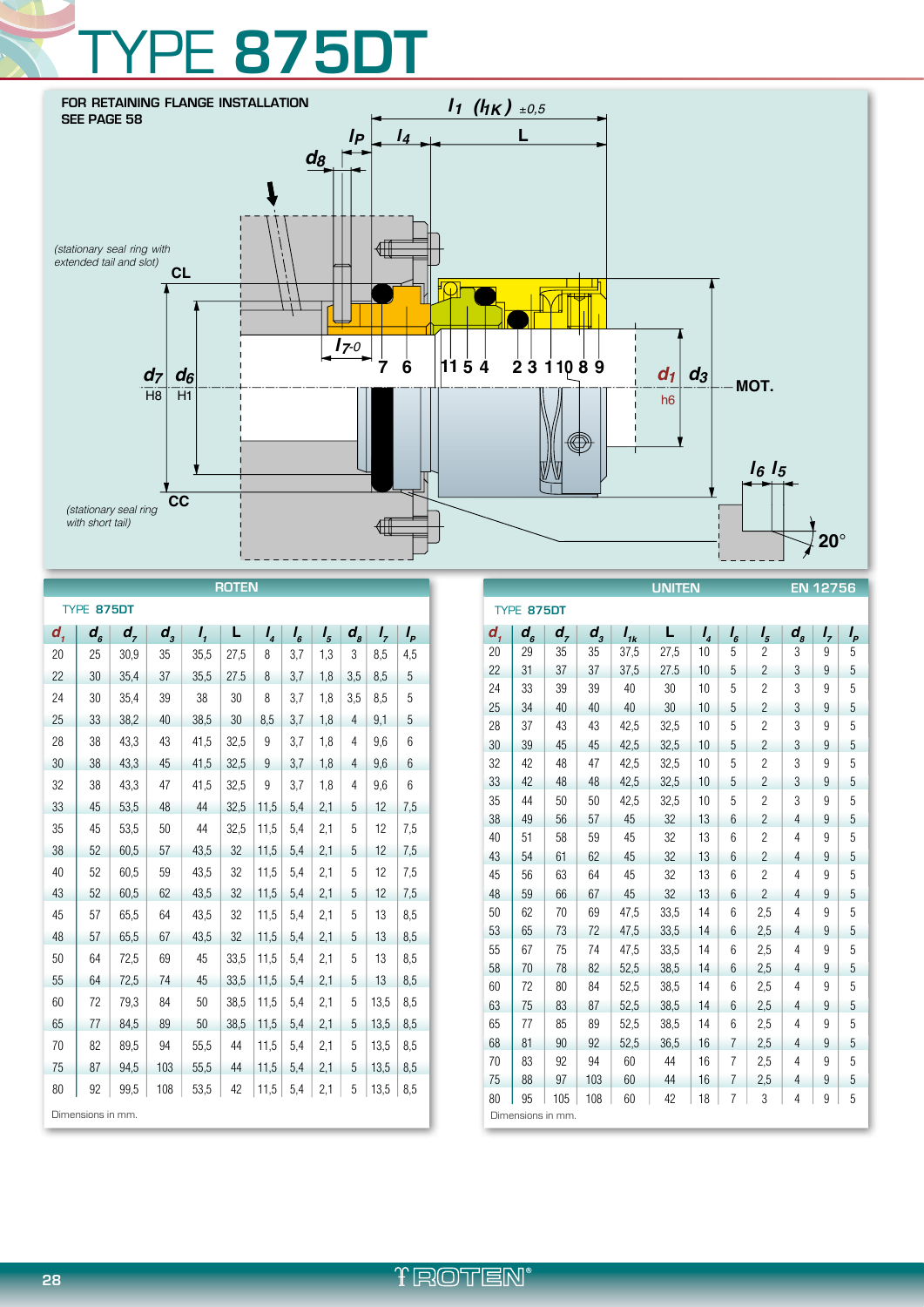## **PE 875DT**



| <b>ROTEN</b>               |                             |         |                    |              |      |                |         |         |                    |         |       |
|----------------------------|-----------------------------|---------|--------------------|--------------|------|----------------|---------|---------|--------------------|---------|-------|
| TYPE 875DT                 |                             |         |                    |              |      |                |         |         |                    |         |       |
| $d_{\scriptscriptstyle 1}$ | $d_{\scriptscriptstyle{6}}$ | $d_{7}$ | $d_{\overline{3}}$ | $I_{\prime}$ | L    | I <sub>4</sub> | $I_{6}$ | $I_{5}$ | $\boldsymbol{d}_s$ | $I_{7}$ | $I_p$ |
| 20                         | 25                          | 30,9    | 35                 | 35,5         | 27,5 | 8              | 3,7     | 1,3     | 3                  | 8,5     | 4,5   |
| 22                         | 30                          | 35,4    | 37                 | 35,5         | 27.5 | 8              | 3,7     | 1,8     | 3,5                | 8.5     | 5     |
| 24                         | 30                          | 35.4    | 39                 | 38           | 30   | 8              | 3,7     | 1.8     | 3.5                | 8.5     | 5     |
| 25                         | 33                          | 38,2    | 40                 | 38,5         | 30   | 8.5            | 3,7     | 1,8     | 4                  | 9,1     | 5     |
| 28                         | 38                          | 43,3    | 43                 | 41,5         | 32,5 | 9              | 3,7     | 1,8     | 4                  | 9.6     | 6     |
| 30                         | 38                          | 43,3    | 45                 | 41.5         | 32,5 | 9              | 3,7     | 1,8     | $\overline{4}$     | 9.6     | 6     |
| 32                         | 38                          | 43,3    | 47                 | 41,5         | 32,5 | 9              | 3,7     | 1,8     | 4                  | 9,6     | 6     |
| 33                         | 45                          | 53,5    | 48                 | 44           | 32,5 | 11,5           | 5,4     | 2,1     | 5                  | 12      | 7,5   |
| 35                         | 45                          | 53,5    | 50                 | 44           | 32,5 | 11,5           | 5,4     | 2,1     | 5                  | 12      | 7,5   |
| 38                         | 52                          | 60.5    | 57                 | 43,5         | 32   | 11,5           | 5,4     | 2,1     | 5                  | 12      | 7,5   |
| 40                         | 52                          | 60,5    | 59                 | 43,5         | 32   | 11,5           | 5,4     | 2,1     | 5                  | 12      | 7,5   |
| 43                         | 52                          | 60,5    | 62                 | 43,5         | 32   | 11,5           | 5,4     | 2,1     | 5                  | 12      | 7,5   |
| 45                         | 57                          | 65,5    | 64                 | 43,5         | 32   | 11,5           | 5,4     | 2,1     | 5                  | 13      | 8,5   |
| 48                         | 57                          | 65,5    | 67                 | 43,5         | 32   | 11,5           | 5,4     | 2,1     | 5                  | 13      | 8,5   |
| 50                         | 64                          | 72,5    | 69                 | 45           | 33,5 | 11,5           | 5,4     | 2,1     | 5                  | 13      | 8,5   |
| 55                         | 64                          | 72,5    | 74                 | 45           | 33,5 | 11,5           | 5,4     | 2,1     | 5                  | 13      | 8,5   |
| 60                         | 72                          | 79,3    | 84                 | 50           | 38,5 | 11.5           | 5,4     | 2,1     | 5                  | 13.5    | 8,5   |
| 65                         | 77                          | 84.5    | 89                 | 50           | 38.5 | 11.5           | 5,4     | 2,1     | 5                  | 13.5    | 8.5   |
| 70                         | 82                          | 89,5    | 94                 | 55,5         | 44   | 11,5           | 5,4     | 2,1     | 5                  | 13,5    | 8,5   |
| 75                         | 87                          | 94,5    | 103                | 55,5         | 44   | 11,5           | 5,4     | 2,1     | 5                  | 13,5    | 8,5   |
| 80                         | 92                          | 99,5    | 108                | 53,5         | 42   | 11,5           | 5,4     | 2,1     | 5                  | 13,5    | 8,5   |
| Dimensions in mm.          |                             |         |                    |              |      |                |         |         |                    |         |       |

| <b>UNITEN</b>     |                                |         |         |          |      |                | EN 12756       |                |                |         |    |
|-------------------|--------------------------------|---------|---------|----------|------|----------------|----------------|----------------|----------------|---------|----|
| TYPE 875DT        |                                |         |         |          |      |                |                |                |                |         |    |
| d,                | $d_{\scriptscriptstyle\kappa}$ | $d_{7}$ | $d_{3}$ | $I_{ik}$ | L    | I <sub>4</sub> | $I_{6}$        | $I_{5}$        | $d_{s}$        | $I_{7}$ | Ι, |
| 20                | 29                             | 35      | 35      | 37,5     | 27,5 | 10             | 5              | $\overline{2}$ | 3              | 9       | 5  |
| 22                | 31                             | 37      | 37      | 37,5     | 27.5 | 10             | 5              | $\overline{2}$ | 3              | 9       | 5  |
| 24                | 33                             | 39      | 39      | 40       | 30   | 10             | 5              | $\overline{2}$ | 3              | 9       | 5  |
| 25                | 34                             | 40      | 40      | 40       | 30   | 10             | 5              | $\overline{2}$ | 3              | 9       | 5  |
| 28                | 37                             | 43      | 43      | 42,5     | 32,5 | 10             | 5              | $\overline{2}$ | 3              | 9       | 5  |
| 30                | 39                             | 45      | 45      | 42,5     | 32,5 | 10             | 5              | $\overline{2}$ | 3              | 9       | 5  |
| 32                | 42                             | 48      | 47      | 42,5     | 32,5 | 10             | 5              | $\overline{2}$ | 3              | 9       | 5  |
| 33                | 42                             | 48      | 48      | 42,5     | 32,5 | 10             | 5              | $\overline{2}$ | 3              | 9       | 5  |
| 35                | 44                             | 50      | 50      | 42,5     | 32,5 | 10             | 5              | $\overline{2}$ | 3              | 9       | 5  |
| 38                | 49                             | 56      | 57      | 45       | 32   | 13             | 6              | 2              | 4              | 9       | 5  |
| 40                | 51                             | 58      | 59      | 45       | 32   | 13             | 6              | $\overline{c}$ | $\overline{4}$ | 9       | 5  |
| 43                | 54                             | 61      | 62      | 45       | 32   | 13             | 6              | $\overline{2}$ | 4              | 9       | 5  |
| 45                | 56                             | 63      | 64      | 45       | 32   | 13             | 6              | $\overline{c}$ | $\overline{4}$ | 9       | 5  |
| 48                | 59                             | 66      | 67      | 45       | 32   | 13             | 6              | $\overline{2}$ | 4              | 9       | 5  |
| 50                | 62                             | 70      | 69      | 47,5     | 33,5 | 14             | 6              | 2.5            | $\overline{4}$ | 9       | 5  |
| 53                | 65                             | 73      | 72      | 47,5     | 33,5 | 14             | 6              | 2.5            | 4              | 9       | 5  |
| 55                | 67                             | 75      | 74      | 47,5     | 33,5 | 14             | 6              | 2.5            | $\overline{4}$ | 9       | 5  |
| 58                | 70                             | 78      | 82      | 52,5     | 38,5 | 14             | 6              | 2,5            | 4              | 9       | 5  |
| 60                | 72                             | 80      | 84      | 52,5     | 38,5 | 14             | 6              | 2,5            | 4              | 9       | 5  |
| 63                | 75                             | 83      | 87      | 52,5     | 38,5 | 14             | 6              | 2.5            | 4              | 9       | 5  |
| 65                | 77                             | 85      | 89      | 52,5     | 38,5 | 14             | 6              | 2,5            | 4              | 9       | 5  |
| 68                | 81                             | 90      | 92      | 52,5     | 36,5 | 16             | $\overline{7}$ | 2.5            | $\overline{4}$ | 9       | 5  |
| 70                | 83                             | 92      | 94      | 60       | 44   | 16             | 7              | 2,5            | 4              | 9       | 5  |
| 75                | 88                             | 97      | 103     | 60       | 44   | 16             | $\overline{7}$ | 2,5            | 4              | 9       | 5  |
| 80                | 95                             | 105     | 108     | 60       | 42   | 18             | 7              | 3              | 4              | 9       | 5  |
| Dimensions in mm. |                                |         |         |          |      |                |                |                |                |         |    |